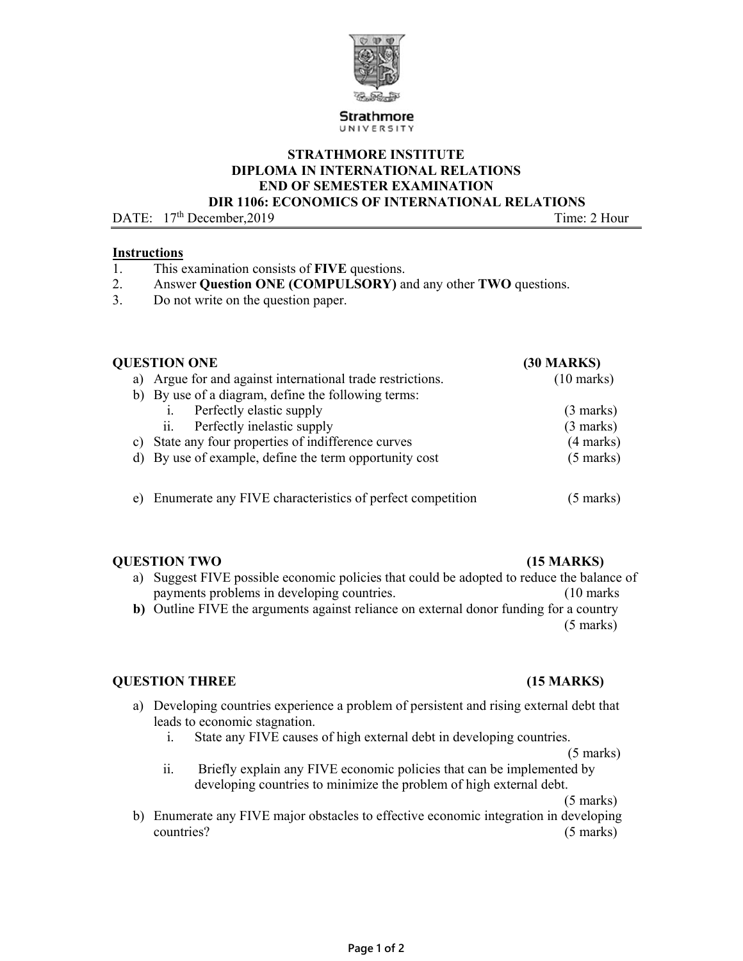

### **STRATHMORE INSTITUTE DIPLOMA IN INTERNATIONAL RELATIONS END OF SEMESTER EXAMINATION DIR 1106: ECONOMICS OF INTERNATIONAL RELATIONS**

DATE:  $17<sup>th</sup> December.2019$  Time: 2 Hour

### **Instructions**

- 1. This examination consists of **FIVE** questions.
- 2. Answer **Question ONE (COMPULSORY)** and any other **TWO** questions.
- 3. Do not write on the question paper.

| <b>QUESTION ONE</b>                                             | <b>(30 MARKS)</b>    |
|-----------------------------------------------------------------|----------------------|
| a) Argue for and against international trade restrictions.      | $(10 \text{ marks})$ |
| b) By use of a diagram, define the following terms:             |                      |
| Perfectly elastic supply                                        | $(3 \text{ marks})$  |
| Perfectly inelastic supply<br>ii.                               | $(3 \text{ marks})$  |
| State any four properties of indifference curves<br>C)          | $(4 \text{ marks})$  |
| d) By use of example, define the term opportunity cost          | $(5 \text{ marks})$  |
| Enumerate any FIVE characteristics of perfect competition<br>e) | (5 marks)            |

### **QUESTION TWO (15 MARKS)**

- a) Suggest FIVE possible economic policies that could be adopted to reduce the balance of payments problems in developing countries. (10 marks
- **b)** Outline FIVE the arguments against reliance on external donor funding for a country (5 marks)

### **QUESTION THREE (15 MARKS)**

- a) Developing countries experience a problem of persistent and rising external debt that leads to economic stagnation.
	- i. State any FIVE causes of high external debt in developing countries.
	- (5 marks) ii. Briefly explain any FIVE economic policies that can be implemented by developing countries to minimize the problem of high external debt.

(5 marks)

b) Enumerate any FIVE major obstacles to effective economic integration in developing countries? (5 marks)